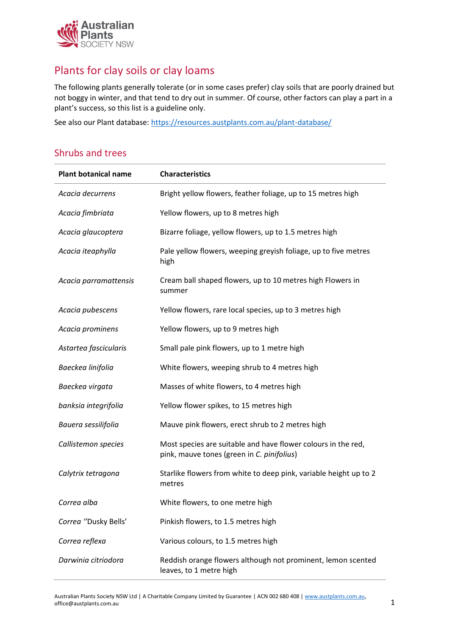

## Plants for clay soils or clay loams

The following plants generally tolerate (or in some cases prefer) clay soils that are poorly drained but not boggy in winter, and that tend to dry out in summer. Of course, other factors can play a part in a plant's success, so this list is a guideline only.

See also our Plant database:<https://resources.austplants.com.au/plant-database/>

### Shrubs and trees

| <b>Plant botanical name</b> | <b>Characteristics</b>                                                                                      |
|-----------------------------|-------------------------------------------------------------------------------------------------------------|
| Acacia decurrens            | Bright yellow flowers, feather foliage, up to 15 metres high                                                |
| Acacia fimbriata            | Yellow flowers, up to 8 metres high                                                                         |
| Acacia glaucoptera          | Bizarre foliage, yellow flowers, up to 1.5 metres high                                                      |
| Acacia iteaphylla           | Pale yellow flowers, weeping greyish foliage, up to five metres<br>high                                     |
| Acacia parramattensis       | Cream ball shaped flowers, up to 10 metres high Flowers in<br>summer                                        |
| Acacia pubescens            | Yellow flowers, rare local species, up to 3 metres high                                                     |
| Acacia prominens            | Yellow flowers, up to 9 metres high                                                                         |
| Astartea fascicularis       | Small pale pink flowers, up to 1 metre high                                                                 |
| Baeckea linifolia           | White flowers, weeping shrub to 4 metres high                                                               |
| Baeckea virgata             | Masses of white flowers, to 4 metres high                                                                   |
| banksia integrifolia        | Yellow flower spikes, to 15 metres high                                                                     |
| Bauera sessilifolia         | Mauve pink flowers, erect shrub to 2 metres high                                                            |
| Callistemon species         | Most species are suitable and have flower colours in the red,<br>pink, mauve tones (green in C. pinifolius) |
| Calytrix tetragona          | Starlike flowers from white to deep pink, variable height up to 2<br>metres                                 |
| Correa alba                 | White flowers, to one metre high                                                                            |
| Correa "Dusky Bells'        | Pinkish flowers, to 1.5 metres high                                                                         |
| Correa reflexa              | Various colours, to 1.5 metres high                                                                         |
| Darwinia citriodora         | Reddish orange flowers although not prominent, lemon scented<br>leaves, to 1 metre high                     |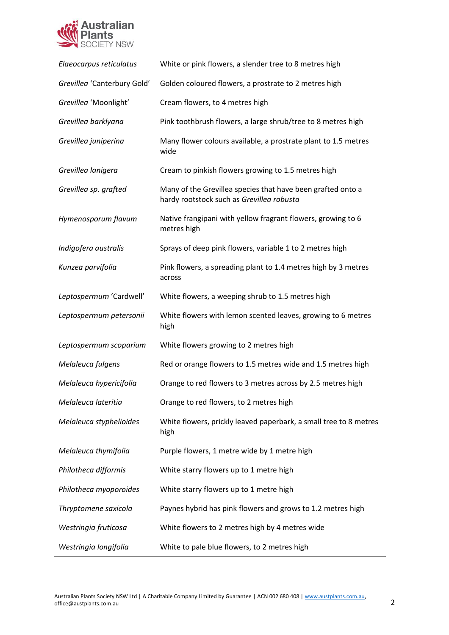

| Elaeocarpus reticulatus     | White or pink flowers, a slender tree to 8 metres high                                                   |
|-----------------------------|----------------------------------------------------------------------------------------------------------|
| Grevillea 'Canterbury Gold' | Golden coloured flowers, a prostrate to 2 metres high                                                    |
| Grevillea 'Moonlight'       | Cream flowers, to 4 metres high                                                                          |
| Grevillea barklyana         | Pink toothbrush flowers, a large shrub/tree to 8 metres high                                             |
| Grevillea juniperina        | Many flower colours available, a prostrate plant to 1.5 metres<br>wide                                   |
| Grevillea lanigera          | Cream to pinkish flowers growing to 1.5 metres high                                                      |
| Grevillea sp. grafted       | Many of the Grevillea species that have been grafted onto a<br>hardy rootstock such as Grevillea robusta |
| Hymenosporum flavum         | Native frangipani with yellow fragrant flowers, growing to 6<br>metres high                              |
| Indigofera australis        | Sprays of deep pink flowers, variable 1 to 2 metres high                                                 |
| Kunzea parvifolia           | Pink flowers, a spreading plant to 1.4 metres high by 3 metres<br>across                                 |
| Leptospermum 'Cardwell'     | White flowers, a weeping shrub to 1.5 metres high                                                        |
| Leptospermum petersonii     | White flowers with lemon scented leaves, growing to 6 metres<br>high                                     |
| Leptospermum scoparium      | White flowers growing to 2 metres high                                                                   |
| Melaleuca fulgens           | Red or orange flowers to 1.5 metres wide and 1.5 metres high                                             |
| Melaleuca hypericifolia     | Orange to red flowers to 3 metres across by 2.5 metres high                                              |
| Melaleuca lateritia         | Orange to red flowers, to 2 metres high                                                                  |
| Melaleuca styphelioides     | White flowers, prickly leaved paperbark, a small tree to 8 metres<br>high                                |
| Melaleuca thymifolia        | Purple flowers, 1 metre wide by 1 metre high                                                             |
| Philotheca difformis        | White starry flowers up to 1 metre high                                                                  |
| Philotheca myoporoides      | White starry flowers up to 1 metre high                                                                  |
| Thryptomene saxicola        | Paynes hybrid has pink flowers and grows to 1.2 metres high                                              |
| Westringia fruticosa        | White flowers to 2 metres high by 4 metres wide                                                          |
| Westringia longifolia       | White to pale blue flowers, to 2 metres high                                                             |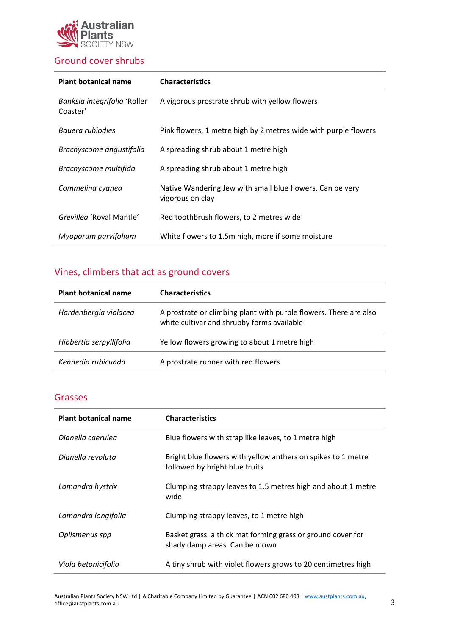

### Ground cover shrubs

| <b>Plant botanical name</b>              | <b>Characteristics</b>                                                        |
|------------------------------------------|-------------------------------------------------------------------------------|
| Banksia integrifolia 'Roller<br>Coaster' | A vigorous prostrate shrub with yellow flowers                                |
| Bauera rubiodies                         | Pink flowers, 1 metre high by 2 metres wide with purple flowers               |
| Brachyscome angustifolia                 | A spreading shrub about 1 metre high                                          |
| Brachyscome multifida                    | A spreading shrub about 1 metre high                                          |
| Commelina cyanea                         | Native Wandering Jew with small blue flowers. Can be very<br>vigorous on clay |
| Grevilleg 'Royal Mantle'                 | Red toothbrush flowers, to 2 metres wide                                      |
| Myoporum parvifolium                     | White flowers to 1.5m high, more if some moisture                             |

# Vines, climbers that act as ground covers

| <b>Plant botanical name</b> | <b>Characteristics</b>                                                                                          |
|-----------------------------|-----------------------------------------------------------------------------------------------------------------|
| Hardenbergia violacea       | A prostrate or climbing plant with purple flowers. There are also<br>white cultivar and shrubby forms available |
| Hibbertia serpyllifolia     | Yellow flowers growing to about 1 metre high                                                                    |
| Kennedia rubicunda          | A prostrate runner with red flowers                                                                             |

#### Grasses

| <b>Plant botanical name</b> | <b>Characteristics</b>                                                                         |
|-----------------------------|------------------------------------------------------------------------------------------------|
| Dianella caerulea           | Blue flowers with strap like leaves, to 1 metre high                                           |
| Dianella revoluta           | Bright blue flowers with yellow anthers on spikes to 1 metre<br>followed by bright blue fruits |
| Lomandra hystrix            | Clumping strappy leaves to 1.5 metres high and about 1 metre<br>wide                           |
| Lomandra longifolia         | Clumping strappy leaves, to 1 metre high                                                       |
| Oplismenus spp              | Basket grass, a thick mat forming grass or ground cover for<br>shady damp areas. Can be mown   |
| Viola betonicifolia         | A tiny shrub with violet flowers grows to 20 centimetres high                                  |